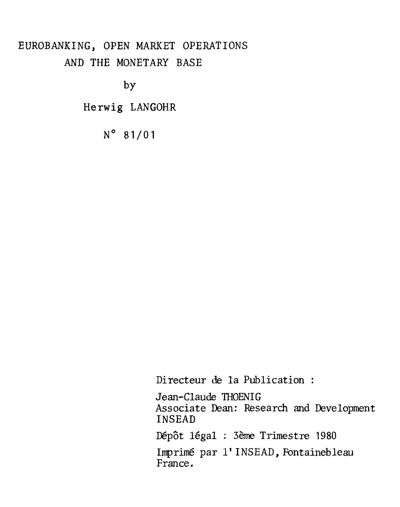# EUROBANKING, OPEN MARKET OPERATIONS AND THE MONETARY BASE

by

Herwig LANGOHR

N° 81/01

Directeur de la Publication :

Jean-Claude THOENIG Associate Dean: Research and Development INSEAD

Dépôt légal : 3ème Trimestre 1980

Imprimé par l' INSEAD, Fontainebleau France.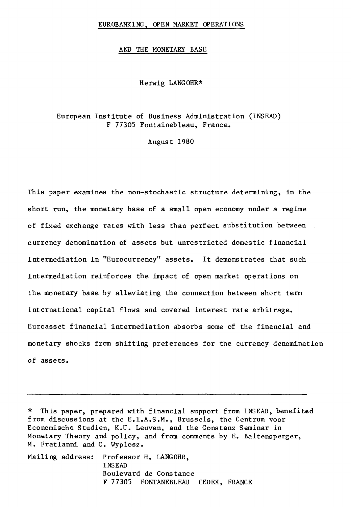#### EUROBANKING, OPEN MARKET OPERATIONS

#### AND THE MONETARY BASE

Herwig LANGOHR\*

### European Institute of Business Administration (INSEAD) F 77305 Fontainebleau, France.

August 1980

This paper examines the non—stochastic structure determining, in the short run, the monetary base of a small open economy under a regime of fixed exchange rates with less than perfect substitution between currency denomination of assets but unrestricted domestic financial intermediation in "Eurocurrency" assets. It demonstrates that such intermediation reinforces the impact of open market operations on the monetary base by alleviating the connection between short term International capital flows and covered interest rate arbitrage. Euroasset financial intermediation absorbs some of the financial and monetary shocks from shifting preferences for the currency denomination of assets.

\* This paper, prepared with financial support from INSEAD, benefited from discussions at the E.I.A.S.M., Brussels, the Centrum voor Economische Studien, K.U. Leuven, and the Constanz Seminar in Monetary Theory and policy, and from comments by E. Baltensperger, M. Fratianni and C. Wyplosz.

Mailing address: Professor H. LANGOHR, INSEAD Boulevard de Constance F 77305 FONTANEBLEAU CEDEX, FRANCE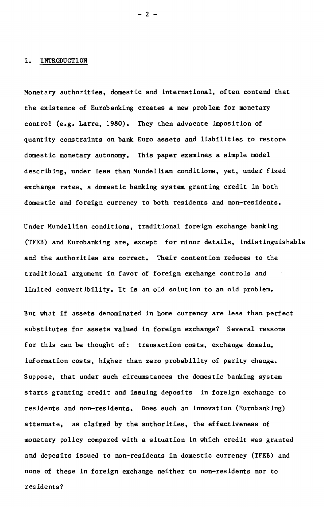#### **I. INTRODUCTION**

**Monetary authorities, domestic and international, often contend that the existence of Eurobanking creates a new problem for monetary control (e.g. Larre, 1980). They then advocate imposition of quantity contraints on bank Euro assets and liabilities to restore domestic monetary autonomy. This paper examines a simple model describing, under less than Mundellian conditions, yet, under fixed exchange rates, a domestic banking system, granting credit in both domestic and foreign currency to both residents and non-residents.** 

**Under Mundellian conditions, traditional foreign exchange banking (TFEB) and Eurobanking are, except for minor details, indistinguishable and the authorities are correct. Their contention reduces to the traditional argument in favor of foreign exchange controls and limited convertibility. It is an old solution to an old problem.** 

**But what if assets denominated in home currency are less than perfect substitutes for assets valued in foreign exchange? Several reasons for this can be thought of: transaction costs, exchange domain, information costs, higher than zero probability of parity change. Suppose, that under such circumstances the domestic banking system starts granting credit and issuing deposits in foreign exchange to residents and non-residents. Does such an innovation (Eurobanking) attenuate, as claimed by the authorities, the effectiveness of monetary policy compared with a situation in which credit was granted and deposits issued to non-residents in domestic currency (TFEB) and none of these in foreign exchange neither to non-residents nor to residents?**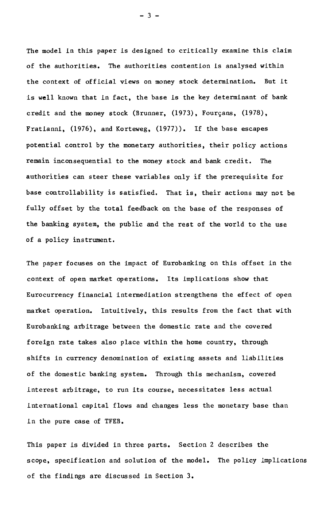The model in this paper is designed to critically examine this claim of the authorities. The authorities contention is analysed within the context of official views on money stock determination. But it is well known that in fact, the base is the key determinant of bank credit and the money stock (Brunner, (1973), Fourçans, (1978), Fratianni, (1976), and Korteweg, (1977)). If the base escapes potential control by the monetary authorities, their policy actions remain inconsequential to the money stock and bank credit. The authorities can steer these variables only if the prerequisite for base controllability is satisfied. That is, their actions may not be fully offset by the total feedback on the base of the responses of the banking system, the public and the rest of the world to the use of a policy instrument.

The paper focuses on the impact of Eurobanking on this offset in the context of open market operations. Its implications show that Eurocurrency financial intermediation strengthens the effect of open market operation. Intuitively, this results from the fact that with Eurobanking arbitrage between the domestic rate and the covered foreign rate takes also place within the home country, through shifts in currency denomination of existing assets and liabilities of the domestic banking system. Through this mechanism, covered interest arbitrage, to run its course, necessitates less actual international capital flows and changes less the monetary base than in the pure case of TFEB.

This paper is divided in three parts. Section 2 describes the scope, specification and solution of the model. The policy implications of the findings are discussed in Section 3.

- 3 -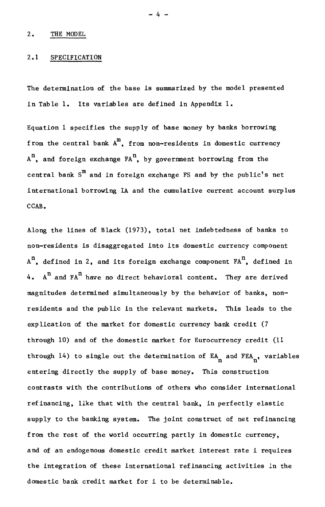### 2.1 SPECIFICATION

The determination of the base is summarized by the model presented In Table 1. Its variables are defined in Appendix 1.

Equation 1 specifies the supply of base money by banks borrowing from the central bank  $A^m$ , from non-residents in domestic currency  $A^n$ , and foreign exchange  $FA^n$ , by government borrowing from the central bank  $S^m$  and in foreign exchange FS and by the public's net international borrowing IA and the cumulative current account surplus CCAB.

Along the lines of Black (1973), total net indebtedness of banks to non-residents is disaggregated into its domestic currency component  $A<sup>n</sup>$ , defined in 2, and its foreign exchange component  $FA<sup>n</sup>$ , defined in 4.  $A^n$  and  $FA^n$  have no direct behavioral content. They are derived magnitudes determined simultaneously by the behavior of banks, nonresidents and the public in the relevant markets. This leads to the explication of the market for domestic currency bank credit (7 through 10) and of the domestic market for Eurocurrency credit (11 through 14) to single out the determination of  $EA_n$  and  $FEA_n$ , variables entering directly the supply of base money. This construction contrasta with the contributions of others who consider international refinancing, llke that with the central bank, in perfectly elastic supply to the banking system. The joint construct of net refinancing from the rest of the world occurring partly in domestic currency, and of an endogenous domestic credit market interest rate i requires the integration of these International refinancing activities In the domestic bank credit market for i to be determinable.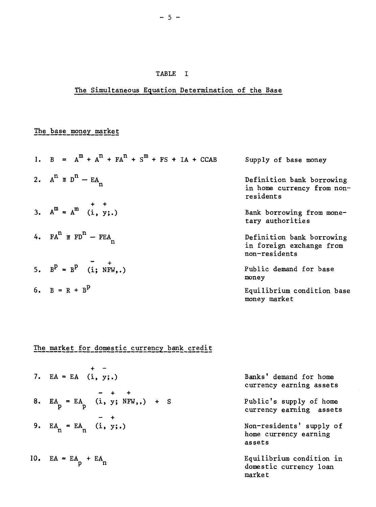## TABLE I

# The Simultaneous Equation Determination of the Base

# The base money market

| 1. $B = A^{m} + A^{n} + FA^{n} + S^{m} + FS + IA + CCAB$             | Supply of base money                                                   |
|----------------------------------------------------------------------|------------------------------------------------------------------------|
| 2. $A^n \equiv D^n - EA_n$                                           | Definition bank borrowing<br>in home currency from non-<br>residents   |
| 3. $A^m = A^m \begin{pmatrix} + & + \\ 1 & y \\ 1 & y \end{pmatrix}$ | Bank borrowing from mone-<br>tary authorities                          |
| 4. $FA^{n} \equiv FD^{n} - FEA_{n}$                                  | Definition bank borrowing<br>in foreign exchange from<br>non-residents |
| 5. $B^P = B^P$ (i; NFW,.)                                            | Public demand for base<br>money                                        |
| 6. $B = R + BP$                                                      | Equilibrium condition base<br>money market                             |

The market for domestic currency bank credit

| 7. $EA = EA (i, y;.)$              | Banks' demand for home<br>currency earning assets            |
|------------------------------------|--------------------------------------------------------------|
| 8. $EA_p = EA_p$ (i, y; NFW,.) + S | Public's supply of home<br>currency earning assets           |
| 9. $EA_n = EA_n$ (i, y;.)          | Non-residents' supply of<br>home currency earning<br>assets  |
| 10. $EA = EA_p + EA_n$             | Equilibrium condition in<br>domestic currency loan<br>market |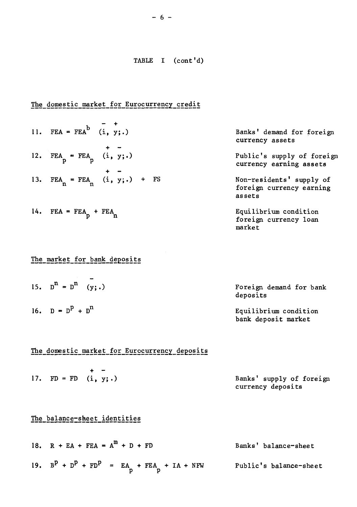## The domestic market for Eurocurrency credit

 $- +$ 11. FEA = FEA<sup>b</sup> (i, y;.)  $+ - -$ 12. FEA = FEA  $(i, y; \cdot)$ + - 13.  $FEA_n = FEA_n$  (i, y;.) + FS

14. FEA =  $FEA_p$  +  $FEA_n$ 

## The market for bank deposits

15.  $D^{n} = D^{n}$  (y;.) Foreign demand for bank deposits 16.  $D = D<sup>P</sup> + D<sup>n</sup>$  Equilibrium condition bank deposit market

## The domestic market for Eurocurrency deposits

|  | $\sim$                 |                          |
|--|------------------------|--------------------------|
|  | 17. $FD = FD$ (i, y;.) | Banks' supply of foreign |
|  |                        | currency deposits        |

## The balance-sheet identities

18.  $R + EA + FEA = A^m + D + FD$  Banks' balance-sheet 19.  $B^P + D^P + FD^P = EA_p + FEA_p + IA + NFW$  Public's balance-sheet

Banks' demand for foreign currency assets

Public's supply of foreign currency earning assets

Non-residents' supply of foreign currency earning assets

Equilibrium condition foreign currency loan market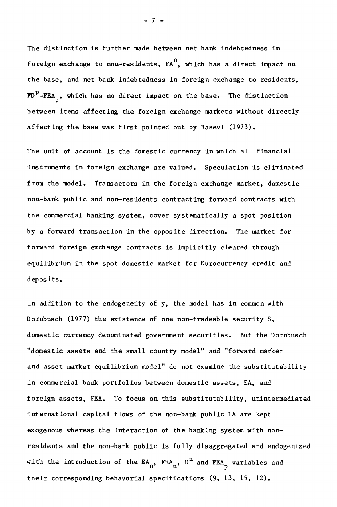The distinction is further made between net bank indebtedness in foreign exchange to non-residents,  $FA^n$ , which has a direct impact on the base, and net bank indebtedness in foreign exchange to residents,  $FD<sup>P</sup> - FEA$  $\frac{1}{p}$ , which has no direct impact on the base. The distinction between Items affecting the foreign exchange markets without directly affecting the base was first pointed out by Basevi (1973).

The unit of account is the domestic currency in which all financial instruments in foreign exchange are valued. Speculation is eliminated f rom the model. Transactors in the foreign exchange market, domestic non-bank public and non-residents contracting forward contracts with the commercial banking system, cover systematically a spot position by a forward transaction in the opposite direction. The market for forward foreign exchange contracts is implicitly cleared through equilibrium in the spot domestic market for Eurocurrency credit and deposits.

In addition to the endogeneity of y, the model has in common with Dornbusch (1977) the existence of one non-tradeable security S, domestic currency denominated government securities. But the Dornbusch "domestic assets and the small country model" and "forward market and asset market equilibrium model" do not examine the substitutability in commercial bank portfolios between domestic assets, EA, and foreign assets, FEA. To focus on this substitutability, unintermediated international capital flows of the non-bank public IA are kept exogenous whereas the interaction of the banking system with nonresidents and the non-bank public is fully disaggregated and endogenized with the introduction of the  $\mathtt{EA}_\mathtt{n}$ ,  $\mathtt{FEA}_\mathtt{n}$ ,  $\mathtt{D^{II}}$  and  $\mathtt{FEA}_\mathtt{p}$  variables and their corresponding behavorial specifications (9, 13, 15, 12).

- 7 -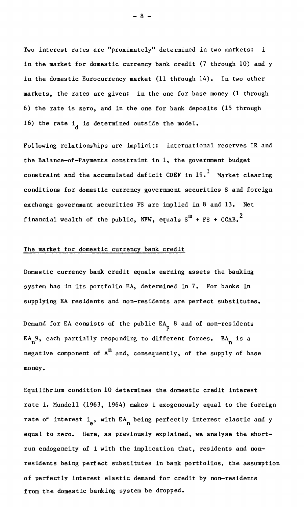Two interest rates are "proximately" determined in two markets: 1 in the market for domestic currency bank credit (7 through 10) and y in the domestic Eurocurrency market (11 through 14). In two other markets, the rates are given: in the one for base money (1 through 6) the rate is zero, and in the one for bank deposits (15 through 16) the rate  $1_d$  is determined outside the model.

Following relationships are implicit: international reserves IR and the Balance-of-Payments constraint in 1, the government budget constraint and the accumulated deficit CDEF in  $19<sup>1</sup>$  Market clearing conditions for domestic currency government securities S and foreign exchange government securities FS are implied in 8 and 13. Net financial wealth of the public, NFW, equals  $S^{m}$  + FS + CCAB.<sup>2</sup>

#### The market for domestic currency bank credit

Domestic currency bank credit equals earning assets the banking system has in its portfolio EA, determined in 7. For banks in supplying EA residents and non-residents are perfect substitutes.

Demand for EA consists of the public  $EA_n$  8 and of non-residents EA<sub>n</sub>9, each partially responding to different forces. EA<sub>n</sub> is a negative component of  $A^n$  and, consequently, of the supply of base money.

Equilibrium condition 10 determines the domestic credit interest rate i. Mundell (1963, 1964) makes i exogenously equal to the foreign rate of interest i<sub>e</sub>, with EA being perfectly interest elastic and y equal to zero. Here, as previously explained, we analyse the shortrun endogeneity of i with the implication that, residents and nonresidents being perfect substitutes in bank portfolios, the assumption of perfectly interest elastic demand for credit by non-residents from the domestic banking system be dropped.

 $- 8 -$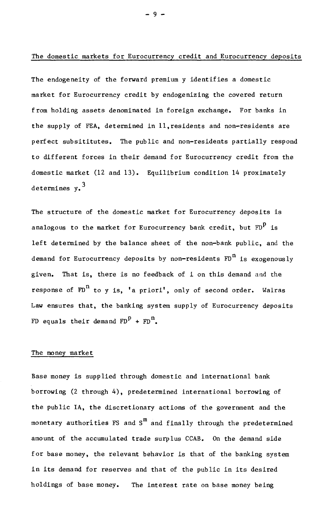### The domestic markets for Eurocurrency credit and Eurocurrency deposits

The endogeneity of the forward premium y identifies a domestic market for Eurocurrency credit by endogenizing the covered return from holding assets denominated in foreign exchange. For banks in the supply of FEA, determined in 11,residents and non-residents are perfect subsititutes. The public and non-residents partially respond to different forces in their demand for Eurocurrency credit from the domestic market (12 and 13). Equilibrium condition 14 proximately determines  $v<sub>0</sub>$ <sup>3</sup>

The structure of the domestic market for Eurocurrency deposits is analogous to the market for Eurocurrency bank credit, but  $FD<sup>p</sup>$  is left determined by the balance sheet of the non-bank public, and the demand for Eurocurrency deposits by non-residents  $FD<sup>n</sup>$  is exogenously given. That is, there is no feedback of I on this demand and the response of  $FD^n$  to y is, 'a priori', only of second order. Walras Law ensures that, the banking system supply of Eurocurrency deposits FD equals their demand  $F^{p}$  +  $F^{p}$ .

### The money market

Base money is supplied through domestic and international bank borrowing (2 through 4), predetermined international borrowing of the public IA, the discretionary actions of the government and the monetary authorities FS and  $S<sup>m</sup>$  and finally through the predetermined amount of the accumulated trade surplus CCAB. On the demand side for base money, the relevant behavior is that of the banking system In its demand for reserves and that of the public in its desired holdings of base money. The interest rate on base money being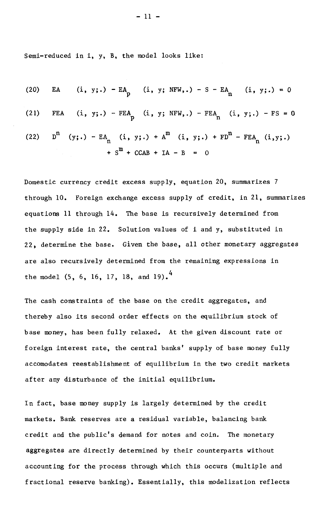Semi-reduced in i, y, B, the model looks like:

(20) EA (i, y;.) - EA P (i, y; NFW,.) - S - EA n (i, y;.) = 0 (21) FEA (i, y;.) - FEA P (i, y; NFW,.) - FEA n (i, y;.) - FS = 0 (22) Dn (y;.) - EAn (i, y;.) + Am (i, y;.) + FDn- FEAn (i,y;.) + Sm + CCAB + IA - B = 0

Domestic currency credit excess supply, equation 20, summarizes 7 through 10. Foreign exchange excess supply of credit, in 21, summarizes equations 11 through 14. The base is recursively determined from the supply side in 22. Solution values of i and y, substituted in 22, determine the base. Given the base, ail other monetary aggregates are also recursively determined from the remaining expressions in the model  $(5, 6, 16, 17, 18, \text{ and } 19)$ .

The cash constraints of the base on the credit aggregates, and thereby also its second order effects on the equilibrium stock of base money, has been fully relaxed. At the given discount rate or f oreign interest rate, the central banks' supply of base money fully accomodates reestablishment of equilibrium in the two credit markets after any disturbance of the initial equilibrium.

In fact, base money supply is largely determined by the credit markets. Bank reserves are a residual variable, balancing bank credit and the public's demand for notes and coin. The monetary aggregates are directly determined by their counterparts without accounting for the process through which this occurs (multiple and fractional reserve banking). Essentially, this modelization reflects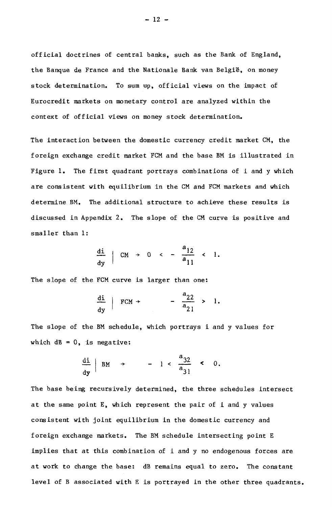official doctrines of central banks, such as the Bank of England, the Banque de France and the Nationale Bank van België, on money stock determination. To sum up, official views on the impact of Eurocredit markets on monetary control are analyzed within the context of official views on money stock determination.

The interaction between the domestic currency credit market CM, the f oreign exchange credit market FCM and the base BM is illustrated in Figure 1. The first quadrant portrays combinations of i and y which are consistent with equilibrium in the CM and FCM markets and which determine BM. The additional structure to achieve these results is discussed ln Appendix 2. The slope of the CM curve is positive and smaller than 1:

$$
\frac{di}{dy} | CM + 0 < - \frac{a_{12}}{a_{11}} < 1.
$$

The slope of the FCM curve is larger than one:

$$
\frac{\text{di}}{\text{dy}} \mid \text{FCM} \rightarrow -\frac{a_{22}}{a_{21}} > 1.
$$

The slope of the BM schedule, which portrays I and y values for which  $dB = 0$ , is negative:

$$
\frac{\mathrm{di}}{\mathrm{dy}} \Big| \mathrm{BM} \rightarrow -1 < \frac{\mathrm{a}_{32}}{\mathrm{a}_{31}} < 0.
$$

The base being recursively determined, the three schedules intersect at the same point E, which represent the pair of i and y values consistent with joint equilibrium in the domestic currency and f oreign exchange markets. The BM schedule intersecting point E implies that at this combination of I and y no endogenous forces are at work to change the base: dB remains equal to zero. The constant level of B associated with E is portrayed in the other three quadrants.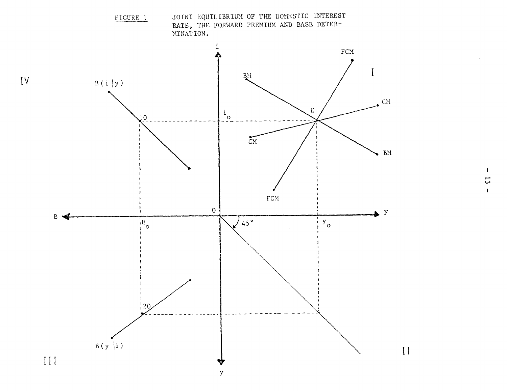

 $\mathbf{I}$  $\overline{5}$  $\mathbf{L}$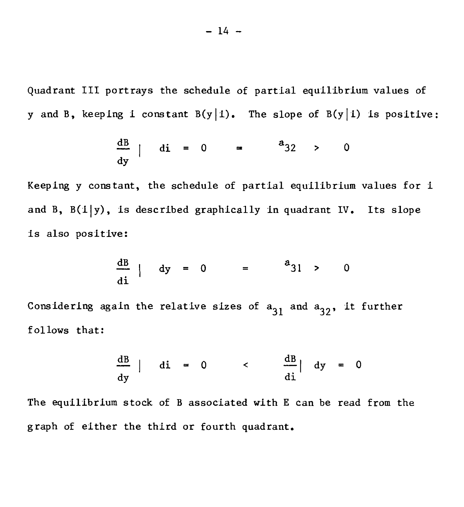Quadrant III portrays the schedule of partial equilibrium values of y and B, keeping i constant  $B(y|i)$ . The slope of  $B(y|i)$  is positive:

$$
\frac{dB}{dy} | di = 0 = \frac{a_{32}}{2} > 0
$$

Keeping y constant, the schedule of partial equilibrium values for i and B,  $B(i|y)$ , is described graphically in quadrant IV. Its slope is also positive:

$$
\frac{\text{dB}}{\text{di}} \mid \text{dy} = 0 = \frac{a_{31}}{9} > 0
$$

Considering again the relative sizes of  $a_{31}$  and  $a_{32}$ , it further follows that:

$$
\frac{dB}{dy} | di = 0 \qquad < \qquad \frac{dB}{di} | dy = 0
$$

The equilibrium stock of B associated with E can be read from the graph of either the third or fourth quadrant.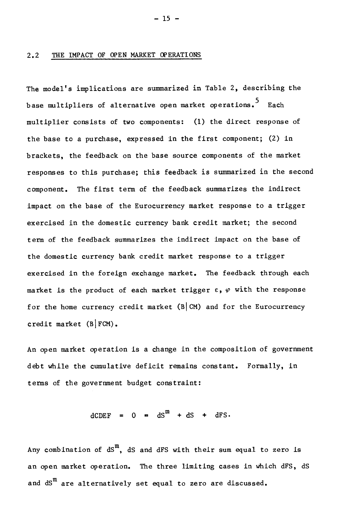#### 2.2 THE IMPACT OF OPEN MARKET OPERATIONS

The model's implications are summarized in Table 2, describing the base multipliers of alternative open market operations.<sup>5</sup> Each multiplier consists of two components: (1) the direct response of the base to a purchase, expressed in the first component; (2) in brackets, the feedback on the base source components of the market responses to this purchase; this feedback is summarized in the second component. The first term of the feedback summarizes the indirect impact on the base of the Eurocurrency market response to a trigger exercised in the domestic currency bank credit market; the second term of the feedback summarizes the indirect impact on the base of the domestic currency bank credit market response to a trigger exercised in the foreign exchange market. The feedback through each market is the product of each market trigger  $\varepsilon$ ,  $\varphi$  with the response for the home currency credit market  $(B|CM)$  and for the Eurocurrency credit market  $(B|FCM)$ .

An open market operation is a change in the composition of government debt while the cumulative deficit remains constant. Formally, in terms of the government budget constraint:

 $dCDEF = 0 = dS^m + dS + dFS$ 

Any combination of  $dS<sup>m</sup>$ , dS and dFS with their sum equal to zero is an open market operation. The three limiting cases in which dFS, dS and  $dS^m$  are alternatively set equal to zero are discussed.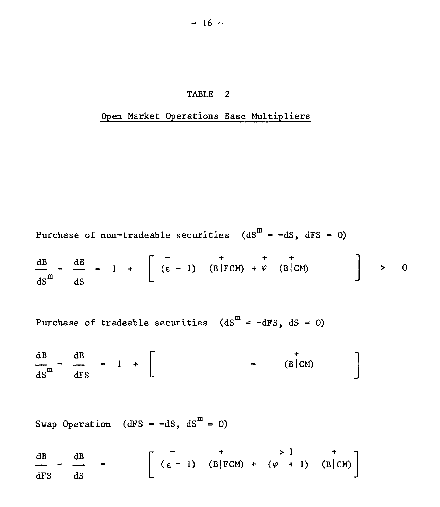### TABLE 2

## Open Market Operations Base Multipliers

**Purchase of non-tradeable securities** 
$$
(dSm = -dS, dFS = 0)
$$

$$
\frac{dB}{ds} - \frac{dB}{ds} = 1 + \left[ \begin{array}{ccc} - & + & + & + \\ (\varepsilon - 1) & (B|FCM) + \varphi & (B|CM) \end{array} \right] > 0
$$

Purchase of tradeable securities  $(ds^m = -dFS, dS = 0)$ 

$$
\frac{dB}{dS^m} - \frac{dB}{dFS} = 1 + \begin{bmatrix} + \\ - \\ - \end{bmatrix}
$$
 (B/CM)

Swap Operation (dFS =  $-dS$ ,  $dS^m = 0$ )

 $\frac{dB}{dx}$  -  $\frac{dB}{dx}$  =  $\frac{dB}{dE}$  -  $\frac{dB}{dE}$  =  $\left[ \begin{array}{ccc} - & + & > 1 & + \\ (\varepsilon - 1) & (B|FCM) + (\varphi + 1) & (B|CM) \end{array} \right]$ dFS dS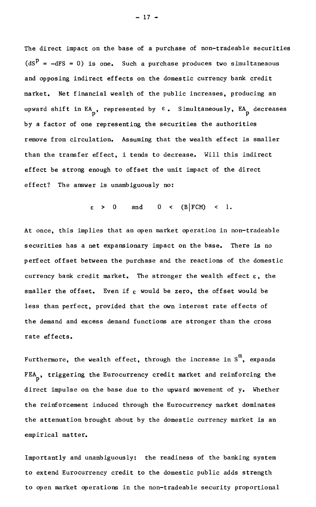The direct impact on the base of a purchase of non-tradeable securities  $(ds^{p} = -dFS = 0)$  is one. Such a purchase produces two simultaneaous and opposing indirect effects on the domestic currency bank credit market. Net financial wealth of the public increases, producing an upward shift in EA, represented by  $\varepsilon$ . Simultaneously, EA decreases by a factor of one representing the securities the authorities remove from circulation. Assuming that the wealth effect is smaller than the transfer effect, i tends to decrease. Will this indirect effect be strong enough to offset the unit impact of the direct effect? The answer is unambiguously no:

 $\varepsilon > 0$  and  $0 < (B|FCM) < 1$ .

At once, this implies that an open market operation in non-tradeable securities has a net expansionary impact on the base. There is no perfect offset between the purchase and the reactions of the domestic currency bank credit market. The stronger the wealth effect  $\varepsilon$ , the smaller the offset. Even if  $\epsilon$  would be zero, the offset would be less than perfect, provided that the own interest rate effects of the demand and excess demand functions are stronger than the cross rate effects.

Furthermore, the wealth effect, through the increase in  $S^m$ , expands FEA<sub>p</sub>, triggering the Eurocurrency credit market and reinforcing the direct impulse on the base due to the upward movement of y. Whether the reinforcement induced through the Eurocurrency market dominates the attenuation brought about by the domestic currency market is an empirical matter.

Importantly and unambiguously: the readiness of the banking system to extend Eurocurrency credit to the domestic public adds strength to open market operations in the non-tradeable security proportional

 $- 17 -$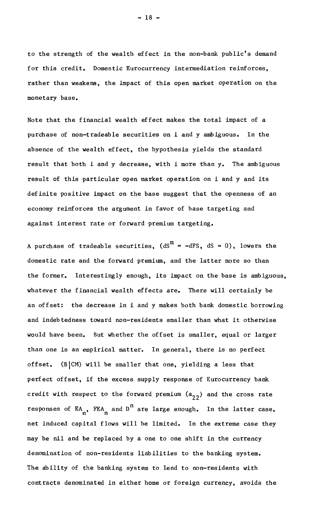to the strength of the wealth effect in the non-bank public's demand for this credit. Domestic Eurocurrency intermediation reinforces, rather than weakens, the impact of this open market operation on the monetary base.

Note that the financial wealth effect makes the total impact of a purchase of non-tradeable securities on i and y ambiguous. In the absence of the wealth effect, the hypothesis yields the standard result that both i and y decrease, with i more than y. The ambiguous result of this particular open market operation on i and y and its definite positive impact on the base suggest that the openness of an economy reinforces the argument in favor of base targeting and against interest rate or forward premium targeting.

A purchase of tradeable securities,  $(dS^m = -dFS, dS = 0)$ , lowers the domestic rate and the forward premium, and the latter more so than the former. Interestingly enough, its impact on the base is ambiguous, whatever the financial wealth effects are. There will certainly be an offset: the decrease in i and y makes both bank domestic borrowing and indebtedness toward non-residents smaller than what it otherwise would have been. But whether the offset is smaller, equal or larger than one is an empirical matter. In general, there is no perfect offset.  $(B|CM)$  will be smaller that one, yielding a less that perfect offset, if the excess supply response of Eurocurrency bank credit with respect to the forward premium  $(a_{22})$  and the cross rate responses of  $EA_n$ , FEA and  $D^n$  are large enough. In the latter case, net induced capital flows will be limited. In the extreme case they may be nil and be replaced by a one to one shift in the currency denomination of non-residents liabilities to the banking system. The ability of the banking system to lend to non-residents with contracts denominated in either home or foreign currency, avoids the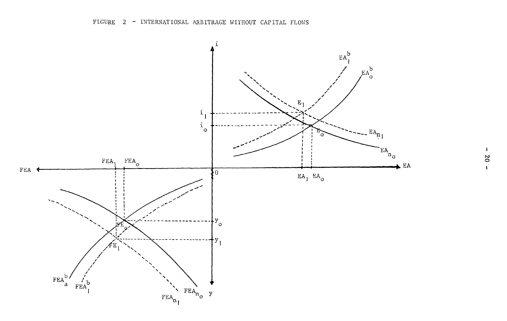

 $\mathbf{I}$ **20**  $\mathbf{I}$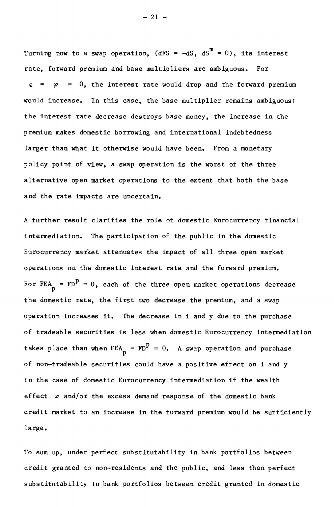Turning now to a swap operation, (dFS = -dS,  $dS^m = 0$ ), its interest rate, forward premium and base multipliers are ambiguous. For  $\varphi$  = 0, the interest rate would drop and the forward premium would increase. In this case, the base multiplier remains ambiguous: the interest rate decrease destroys base money, the increase in the premlum makes domestic borrowing and international indebtedness larger than what it otherwise would have been. From a monetary policy point of view, a swap operation is the worst of the three alternative open market operations to the extent that both the base and the rate impacts are uncertain.

A further result clarifies the role of domestic Eurocurrency financial intermediation. The participation of the public in the domestic Eurocurrency market attenuates the impact of ail three open market operations on the domestic interest rate and the forward premium. For FEA =  $FD^P = 0$ , each of the three open market operations decrease the domestic rate, the first two decrease the premium, and a swap operation increases it. The decrease in i and y due to the purchase of tradeable securities is less when domestic Eurocurrency intermediation takes place than when  $FEA_p = FD^p = 0$ . A swap operation and purchase of non-tradeable securities could have a positive effect on i and y in the case of domestic Eurocurrency intermediation if the wealth effect  $\varphi$  and/or the excess demand response of the domestic bank credit market to an increase in the forward premium would be sufficiently large.

To sum up, under perfect substitutability in bank portfolios between credit granted to non-residents and the public, and less than perfect substitutability in bank portfolios between credit granted in domestic

 $-21 -$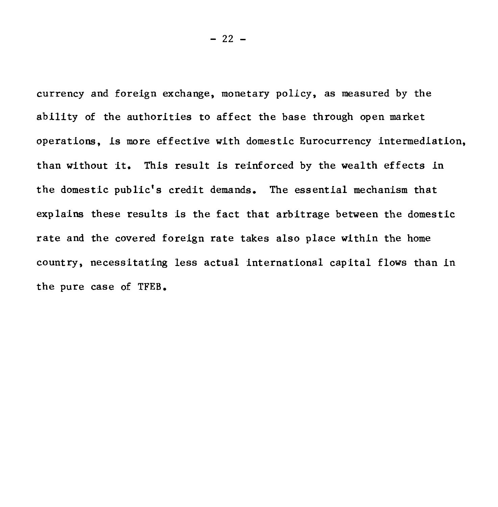currency and foreign exchange, monetary policy, as measured by the ability of the authorities to affect the base through open market operations, is more effective with domestic Eurocurrency intermediation, than without it. This result is reinforced by the wealth effects in the domestic public's credit demands. The essential mechanism that explains these results is the fact that arbitrage between the domestic rate and the covered foreign rate takes also place within the home country, necessitating less actual international capital flows than in the pure case of TFEB.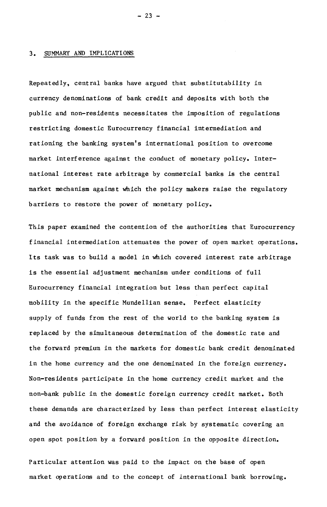#### 3. SUMMARY AND IMPLICATIONS

Repeatedly, central banks have argued that substitutability in currency denominations of bank credit and deposits with both the public and non-residents necessitates the imposition of regulations restricting domestic Eurocurrency financial intermediation and rationing the banking system's international position to overcome market interference against the conduct of monetary policy. International interest rate arbitrage by commercial banks is the central market mechanism against which the policy makers raise the regulatory barriers to restore the power of monetary policy.

This paper examined the contention of the authorities that Eurocurrency financial intermediation attenuates the power of open market operations. Its task was to build a model in which covered interest rate arbitrage is the essential adjustment mechanism under conditions of full Eurocurrency financial integration but less than perfect capital mobility in the specific Mundellian sense. Perfect elasticity supply of funds from the rest of the world to the banking system is replaced by the simultaneous determination of the domestic rate and the forward premium in the markets for domestic bank credit denominated in the home currency and the one denominated in the foreign currency. Non-residents participate in the home currency credit market and the non-bank public in the domestic foreign currency credit market. Both these demands are characterized by less than perfect interest elasticity and the avoidance of foreign exchange risk by systematic covering an open spot position by a forward position in the opposite direction.

Particular attention was paid to the impact on the base of open market operations and to the concept of international bank borrowing.

 $-23 -$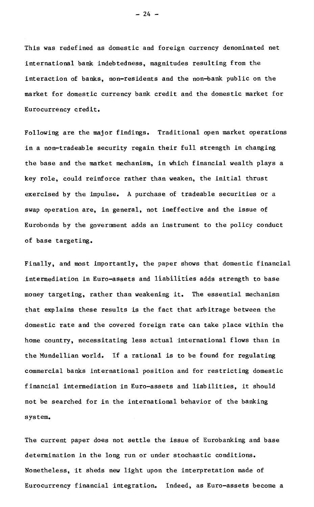This was redefined as domestic and foreign currency denominated net international bank indebtedness, magnitudes resulting from the interaction of banks, non-residents and the non-bank public on the market for domestic currency bank credit and the domestic market for Eurocurrency credit.

Following are the major findings. Traditional open market operations in a non-tradeable security regain their full strength in changing the base and the market mechanism, in which financial wealth plays a key role, could reinforce rather than weaken, the initial thrust exercised by the impulse. A purchase of tradeable securities or a swap operation are, in general, not ineffective and the issue of Eurobonds by the government adds an instrument to the policy conduct of base targeting.

Finally, and most importantly, the paper shows that domestic financial intermediation In Euro-assets and liabilities adds strength to base money targeting, rather than weakening it. The essential mechanism that explains these results is the fact that arbitrage between the domestic rate and the covered foreign rate can take place within the home country, necessitating less actual international flows than in the Mundellian world. If a rational is to be found for regulating commercial banks international position and for restricting domestic financial intermediation in Euro-assets and liabilities, it should not be searched for in the international behavior of the banking system.

The current paper does not settle the Issue of Eurobanking and base determination in the long run or under stochastic conditions. Nonetheless, it sheds new light upon the interpretation made of Eurocurrency financial integration. Indeed, as Euro-assets become a

 $- 24 -$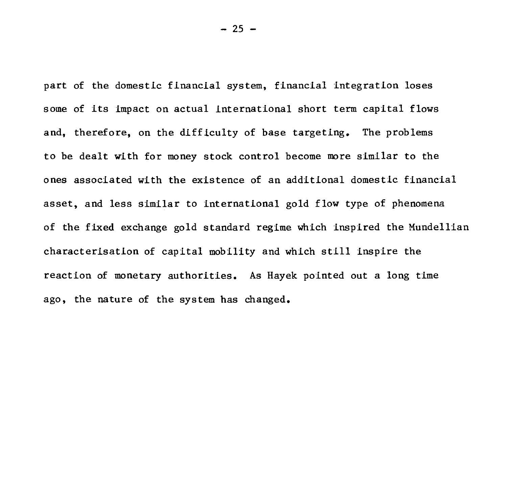part of the domestic financial system, financial integration loses some of its impact on actual international short term capital flows and, therefore, on the difficulty of base targeting. The problems to be dealt with for money stock control become more similar to the ones associated with the existence of an additional domestic financial asset, and less similar to international gold flow type of phenomena of the fixed exchange gold standard regime which inspired the Mundellian characterisation of capital mobility and which still inspire the reaction of monetary authorities. As Hayek pointed out a long time ago, the nature of the system has changed.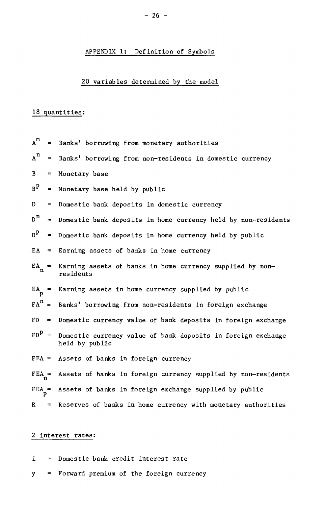## APPENDIX 1: Definition of Symbols

## 20 variables determined by the model

## 18 quantities:

| $A^m$              |                | = Banks' borrowing from monetary authorities                                           |
|--------------------|----------------|----------------------------------------------------------------------------------------|
| $A^n$              |                | = Banks' borrowing from non-residents in domestic currency                             |
| $\mathbf{B}$       | $\blacksquare$ | Monetary base                                                                          |
| B <sup>P</sup>     |                | = Monetary base held by public                                                         |
| D                  | $=$ $-$        | Domestic bank deposits in domestic currency                                            |
| $n^n$              |                | = Domestic bank deposits in home currency held by non-residents                        |
| $D^{\mathbf{p}}$   |                | = Domestic bank deposits in home currency held by public                               |
| EA                 |                | = Earning assets of banks in home currency                                             |
| $EA_{\sim}$ =<br>n |                | Earning assets of banks in home currency supplied by non-<br>residents                 |
| $EA =$             |                | Earning assets in home currency supplied by public                                     |
|                    |                | $FAn$ = Banks' borrowing from non-residents in foreign exchange                        |
|                    |                | $FD$ = Domestic currency value of bank deposits in foreign exchange                    |
|                    |                | $FDP =$ Domestic currency value of bank doposits in foreign exchange<br>held by public |
|                    |                | $FEA = Assets$ of banks in foreign currency                                            |
| $FEA_n =$          |                | Assets of banks in foreign currency supplied by non-residents                          |
| $FEA_p =$          |                | Assets of banks in foreign exchange supplied by public                                 |
| $\mathbf{R}$       |                | = Reserves of banks in home currency with monetary authorities                         |

## 2 interest rates:

- I. = Domestic bank credit interest rate
- y = Forward premium of the foreign currency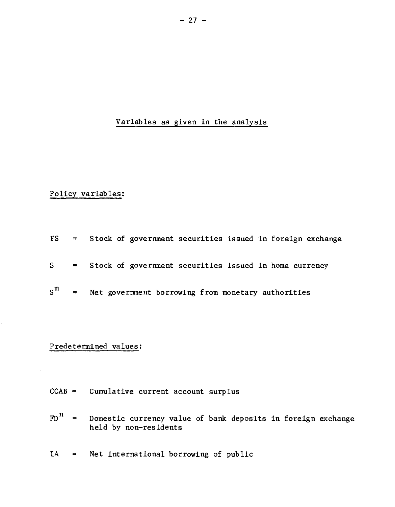## Variables as given in the analysis

## Policy variables:

|                    |          | $FS$ = Stock of government securities issued in foreign exchange |
|--------------------|----------|------------------------------------------------------------------|
|                    |          | S = Stock of government securities issued in home currency       |
| $s^{\mathfrak{m}}$ | $\equiv$ | Net government borrowing from monetary authorities               |

## Predetermined values:

- CCAB = Cumulative current account surplus
- $FD<sup>n</sup>$  = Domestic currency value of bank deposits in foreign exchange held by non-residents
- IA = Net international borrowing of public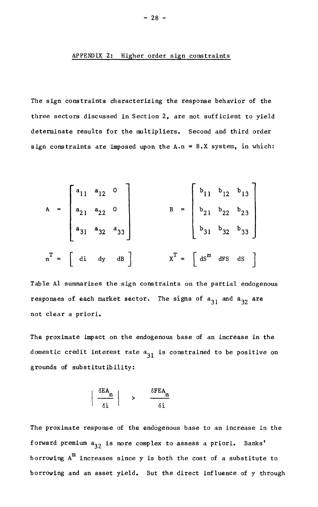### APPENDIX 2: Higher order sign constraints

The sign constraints characterizing the response behavior of the three sectors discussed in Section 2, are not sufficient to yield determinate results for the multipliers. Second and third order sign constraints are imposed upon the  $A \cdot n = B \cdot X$  system, in which:

$$
A = \begin{bmatrix} a_{11} & a_{12} & 0 \\ a_{21} & a_{22} & 0 \\ a_{31} & a_{32} & a_{33} \end{bmatrix}
$$
  

$$
B = \begin{bmatrix} b_{11} & b_{12} & b_{13} \\ b_{21} & b_{22} & b_{23} \\ b_{31} & b_{32} & b_{33} \end{bmatrix}
$$
  

$$
n^{T} = \begin{bmatrix} di & dy & dB \end{bmatrix}
$$
  

$$
X^{T} = \begin{bmatrix} dS^{m} & dFS & dS \end{bmatrix}
$$

Table Al summarizes the sign constraints on the partial endogenous responses of each market sector. The signs of  $a_{31}$  and  $a_{32}$  are not clear a priori.

The proximate impact on the endogenous base of an increase in the domestic credit interest rate  $a_{31}$  is constrained to be positive on grounds of substitutibility:

$$
\left|\begin{array}{c}\n\delta E A_n \\
\hline\n\delta i\n\end{array}\right| \quad \rightarrow \quad \frac{\delta F E A_n}{\delta i}
$$

The proximate response of the endogenous base to an increase in the forward premium  $a_{32}$  is more complex to assess a priori. Banks' borrowing  $A^m$  increases since y is both the cost of a substitute to borrowing and an asset yield. But the direct influence of y through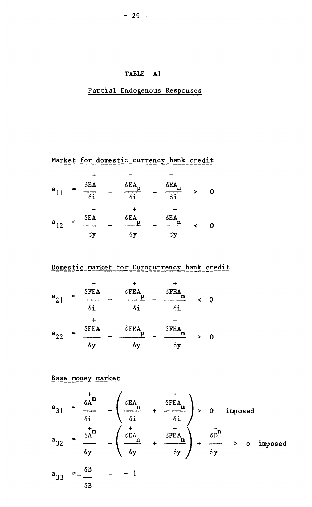## TABLE Al

## Partial Endogenous Responses

Market for domestic currency bank credit

| $a_{11}$ | $\equiv$ | $\delta$ EA<br>δi | δEA <sub>r</sub><br>δi | δEA<br>$\delta \overline{\mathbf{i}}$ | Ω |  |
|----------|----------|-------------------|------------------------|---------------------------------------|---|--|
| $a_{12}$ | 〓        | $\delta$ EA<br>δy | $\delta$ EA<br>δy      | δEA<br>δy                             | Ω |  |

Domestic market for Eurocurrency bank credit

| $a_{21}$ | =        | δFEA<br>δi | $\delta$ FEA<br>D<br>δi | ۰<br>δFEA<br>n<br>δi    | ペ | O |
|----------|----------|------------|-------------------------|-------------------------|---|---|
| $a_{22}$ | $\equiv$ | δFEA<br>δy | $\delta$ FEA<br>δy      | $\delta$ FEA<br>n<br>δy | > |   |

Base money market

$$
a_{31} = \frac{\delta A^{m}}{\delta i} - \left(\frac{\delta EA}{\delta i} + \frac{\delta FEA}{\delta i}\right) > 0 \text{ imposed}
$$
  

$$
a_{32} = \frac{\delta A^{m}}{\delta y} - \left(\frac{\delta EA}{\delta y} + \frac{\delta FEA}{\delta y}\right) + \frac{\delta n^{n}}{\delta y} > 0 \text{ imposed}
$$
  

$$
a_{33} = -\frac{\delta B}{\delta B} = -1
$$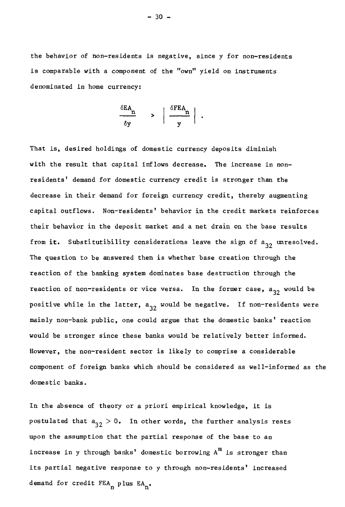the behavior of non-residents is negative, since y for non-residents is comparable with a component of the "own" yield on instruments denominated ln home currency:

$$
\frac{\delta E A_n}{\delta y} \qquad > \qquad \left| \frac{\delta F E A_n}{y} \right| \ .
$$

That is, desired holdings of domestic currency deposits diminish with the result that capital inflows decrease. The increase in nonresidents' demand for domestic currency credit is stronger than the decrease in their demand for foreign currency credit, thereby augmenting capital outflows. Non-residents' behavior in the credit markets reinforces their behavior in the deposit market and a net drain on the base results from it. Substitutibility considerations leave the sign of  $a_{32}$  unresolved. The question to be answered then is whether base creation through the reaction of the banking system dominates base destruction through the reaction of non-residents or vice versa. In the former case, a<sub>32</sub> would be positive while in the latter,  $a_{32}$  would be negative. If non-residents were mainly non-bank public, one could argue that the domestic banks' reaction would be stronger since these banks would be relatively becter informed. However, the non-resident sector is likely to comprise a considerable component of foreign banks which should be considered as well-informed as the domestic banks.

In the absence of theory or a priori empirical knowledge, it is postulated that  $a_{32} > 0$ . In other words, the further analysis rests upon the assumption that the partial response of the base to an increase in y through banks' domestic borrowing  $A^m$  is stronger than its partial negative response to y through non-residents' increased demand for credit  $FEA_n$  plus  $EA_n$ .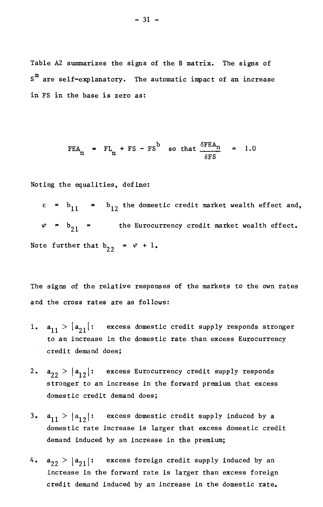Table A2 summarizes the signs of the B matrix. The signs of  $S^{m}$  are self-explanatory. The automatic impact of an increase in FS in the base is zero as:

$$
FEA_n = FL_n + FS - FS^b \text{ so that } \frac{\delta FEA_n}{\delta FS} = 1.0
$$

Noting the equalities, define:

 $e = b_{11} = b_{12}$  the domestic credit market wealth effect and,  $\varphi$  =  $b_{21}$  = the Eurocurrency credit market wealth effect. Note further that  $b_{22} = \varphi + 1$ .

The signs of the relative responses of the markets to the own rates and the cross rates are as follows:

- $|a_{11}| > |a_{21}|$ : excess domestic credit supply responds stronger  $1.$ to an increase in the domestic rate than excess Eurocurrency credit demand does;  $\sim$
- $2.$  $a_{22}$  >  $|a_{12}|$ : excess Eurocurrency credit supply responds stronger to an increase in the forward premium that excess domestic credit demand does;
- $3.$  $|a_{11}| > |a_{12}|$ : excess domestic credit supply induced by a domestic rate increase is larger that excess domestic credit demand induced by an increase in the premium;
- $4.$  $a_{22}$  >  $|a_{21}|$ : excess foreign credit supply induced by an increase in the forward rate is larger than excess foreign credit demand induced by an increase in the domestic rate.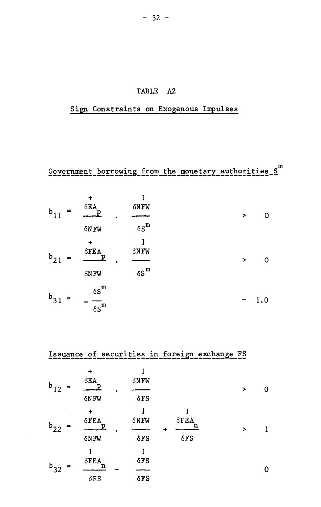## TABLE A2

# Sign Constraints on Exogenous Impulses

 $Gevenment\_borrowing\_from\_the\_mone!ary\_authorities_S^m$ 

| $b_1$<br>$\sim$<br>-1 | $\ddot{}$<br>$\delta {\rm EA}$<br>D                  | δNFW<br>٠<br>$\delta S^m$   | $\overline{ }$ | 0   |
|-----------------------|------------------------------------------------------|-----------------------------|----------------|-----|
| $b_{21}$              | $\delta N$ FW<br>$\div$<br>$\delta$ FEA<br>D<br>δNFW | <b>SNFW</b><br>$\delta S^m$ | $\,>$          | 0   |
| $b_{31}$              | $\delta S^m$<br>$\delta S^m$                         |                             |                | 1.0 |

|             | Issuance of securities in foreign exchange FS |                                 |  |                            |  |                             |   |   |  |
|-------------|-----------------------------------------------|---------------------------------|--|----------------------------|--|-----------------------------|---|---|--|
| $\mathbf b$ |                                               | $\delta$ EA                     |  | δNFW                       |  |                             | > | U |  |
|             |                                               | δNFW                            |  | $\delta$ FS                |  |                             |   |   |  |
| $b_{22}$    |                                               | ٠<br>$\delta {\rm FEA}$<br>δNFW |  | δNFW<br>$\delta$ FS        |  | $\delta$ FEA<br>$\delta$ FS | > |   |  |
| $b_{32}$    |                                               | $\delta$ FEA<br>$\delta$ FS     |  | $\delta$ FS<br>$\delta$ FS |  |                             |   |   |  |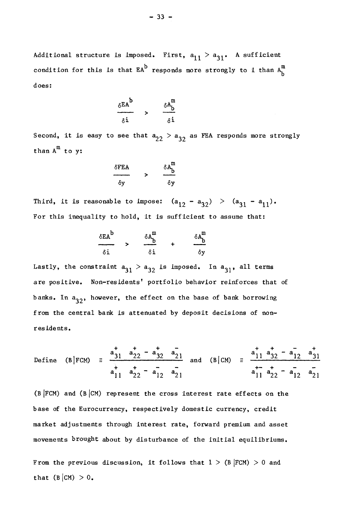Additional structure is imposed. First,  $a_{11} > a_{31}$ . A sufficient condition for this is that  $EA^b$  responds more strongly to i than  $A_b^m$ does:

$$
\frac{\delta E A^{b}}{\delta i} \qquad \Rightarrow \qquad \frac{\delta A_{b}^{m}}{\delta i}
$$

Second, it is easy to see that  $a_{22} > a_{32}$  as FEA responds more strongly than  $A^m$  to y:

$$
\frac{\delta FEA}{\delta y} \qquad > \qquad \frac{\delta A_D^m}{\delta y}
$$

Third, it is reasonable to impose:  $(a_{12} - a_{32}) > (a_{31} - a_{11})$ . For this inequality to hold, it is sufficient to assume that:

$$
\frac{\delta E A^{b}}{\delta i} \qquad \Rightarrow \qquad \frac{\delta A^{m}_{b}}{\delta i} \qquad + \qquad \frac{\delta A^{m}_{b}}{\delta y}
$$

Lastly, the constraint  $a_{31} > a_{32}$  is imposed. In  $a_{31}$ , all terms are positive. Non-residents' portfolio behavior reinforces that of banks. In  $a_{32}$ , however, the effect on the base of bank borrowing f rom the central bank is attenuated by deposit decisions of nonresidents.

Define 
$$
(B|FCM)
$$
  $\equiv \frac{a_{31}^+ + a_{22}^+ - a_{32}^- + a_{21}^-}{a_{11}^+ + a_{22}^+ - a_{12}^- + a_{21}^-}$  and  $(B|CM)$   $\equiv \frac{a_{11}^+ + a_{32}^+ - a_{12}^- + a_{31}^+}{a_{11}^+ + a_{22}^+ - a_{12}^- + a_{21}^-}$ 

(B  $|FCM|$ ) and (B  $|CM|$ ) represent the cross interest rate effects on the base of the Eurocurrency, respectively domestic currency, credit market adjustments through interest rate, forward premium and asset movements brought about by disturbance of the initial equilibriums.

From the previous discussion, it follows that  $1 > (B | FCM) > 0$  and that  $(B|CM) > 0$ .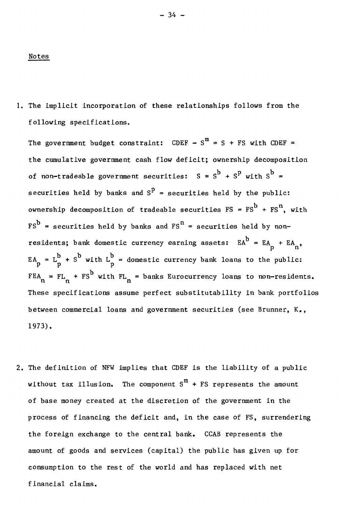#### Notes

1. The implicit incorporation of these relationships follows from the f ollowing specifications.

The government budget constraint: CDEF -  $S^m = S + FS$  with CDEF = the cumulative government cash flow deficit; ownership decomposition of non-tradeable government securities:  $S = S^b + S^p$  with  $S^b =$ securities held by banks and  $S<sup>P</sup>$  = securities held by the public: ownership decomposition of tradeable securities FS =  $\text{FS}^{\text{b}}$  +  $\text{FS}^{\text{n}}$ , with  $\text{FS}^{\text{b}}$  = securities held by banks and  $\text{FS}^{\text{n}}$  = securities held by nonresidents; bank domestic currency earning assets:  $EA^b = EA_p + EA_n$ ,  $EA_p = L_p^b + S^b$  with  $L_p^b$  = domestic currency bank loans to the public:  $FEA_n = FL_n + FS^b$  with  $FL_n =$  banks Eurocurrency loans to non-residents. These specifications assume perfect substitutability in bank portfolios between commercial loans and government securities (see Brunner, K., 1973).

2. The definition of NFW implies that CDEF is the liability of a public without tax illusion. The component  $S^m + FS$  represents the amount of base money created at the discretion of the government in the process of financing the deficit and, in the case of FS, surrendering the foreign exchange to the central bank. CCAB represents the amount of goods and services (capital) the public has given up for consumption to the rest of the world and has replaced with net f inancial claims.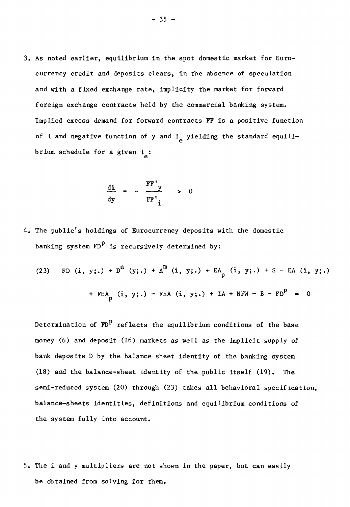3. As noted earlier, equilibrium in the spot domestic market for Eurocurrency credit and deposits clears, in the absence of speculation and with a fixed exchange rate, implicity the market for forward f oreign exchange contracts held by the commercial banking system. Implied excess demand for forward contracts FF is a positive function of i and negative function of y and  $i_{\alpha}$  yielding the standard equilibrium schedule for a given  $i_a$ :

$$
\frac{di}{dy} = -\frac{FF'}{FF'} \to 0
$$

4. The public's holdings of Eurocurrency deposits with the domestic banking system  $FD^P$  is recursively determined by:

(23) FD (i, y;.) + 
$$
D^n
$$
 (y;.) +  $A^m$  (i, y;.) +  $EA_p$  (i, y;.) + S - EA (i, y;.)  
+  $FEA_p$  (i, y;.) -  $FEA$  (i, y;.) + IA + NFW - B -  $FD^p$  = 0

Determination of  $FD^P$  reflects the equilibrium conditions of the base money (6) and deposit (16) markets as well as the implicit supply of bank deposits D by the balance sheet identity of the banking system (18) and the balance-sheet Identity of the public Itself (19). The semi-reduced system (20) through (23) takes all behavioral specification, balance-sheets identities, definitions and equilibrium conditions of the system fully into account.

5. The I and y multipliers are not shown in the paper, but can easily be obtalned from solving for them.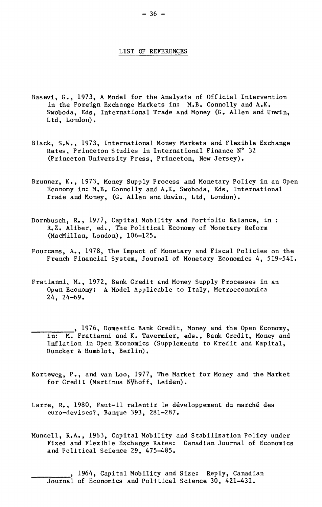#### LIST OF REFERENCES

- Basevi, G., 1973, A Model for the Analysis of Official Intervention in the Foreign Exchange Markets in: M.B. Connolly and A.K. Swoboda, Eds, International Trade and Money (G. Allen and Unwin, Ltd, London).
- Black, S.W., 1973, International Money Markets and Flexible Exchange Rates, Princeton Studies in International Finance N° 32 (Princeton University Press, Princeton, New Jersey).
- Brunner, K., 1973, Money Supply Process and Monetary Policy in an Open Economy in: M.B. Connolly and A.K. Swoboda, Eds, International Trade and Money, (G. Allen and Unwin,, Ltd, London).
- Dornbusch, R., 1977, Capital Mobility and Portfolio Balance, in : R.Z. Aliber, ed., The Political Economy of Monetary Reform (MacMillan, London), 106-125.
- Fourcans, A., 1978, The Impact of Monetary and Fiscal Policies on the French Financial System, Journal of Monetary Economics 4, 519-541.
- Fratianni, M., 1972, Bank Credit and Money Supply Processes in an Open Economy: A Model Applicable to Italy, Metroeconomica 24, 24-69.

, 1976, Domestic Bank Credit, Money and the Open Economy, in: M. Fratianni and K. Tavernier, eds., Bank Credit, Money and Inflation in Open Economics (Supplements to Kredit and Kapital, Duncker & Humblot, Berlin).

- Korteweg, P., and van Loo, 1977, The Market for Money and the Market for Credit (Martinus NYhoff, Leiden).
- Larre, R., 1980, Faut-il ralentir le développement du marché des euro-devises?, Banque 393, 281-287.
- Mundell, R.A., 1963, Capital Mobility and Stabilization Policy under Fixed and Flexible Exchange Rates: Canadian Journal of Economics and Political Science 29, 475-485.

, 1964, Capital Mobility and Size: Reply, Canadian Journal of Economics and Political Science 30, 421-431.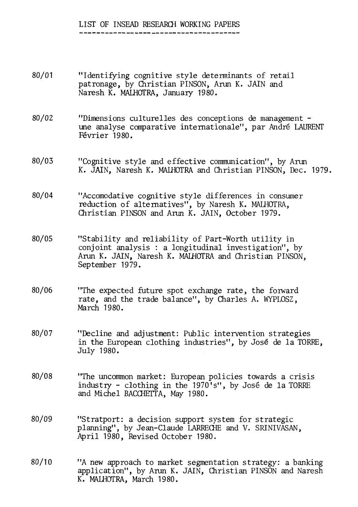## LIST OF INSEAD RESEARCH WORKING PAPERS

- 80/01 "Identifying cognitive style determinants of retail patronage, by Christian PINSON, Arun K. JAIN and Naresh K. MALHOTRA, January 1980.
- 80/02 "Dimensions culturelles des conceptions de management une analyse comparative internationale", par André LAURENT Février 1980.
- 80/03 "Cognitive style and effective communication", by Arun K. JAIN, Naresh K. MAIHOTRA and Christian PINSON, Dec. 1979.
- 80/04 "Accomodative cognitive style differences in consumer reduction of alternatives", by Naresh K. MALHOTRA, Christian PINSON and Aran K. JAIN, October 1979.
- 80/05 "Stability and reliability of Part-Worth utility in conjoint analysis : a longitudinal investigation", by Arun K. JAIN, Naresh K. MALHOTRA and Christian PINSON, September 1979.
- 80/06 "The expected future spot exchange rate, the forward rate, and the trade balance", by Charles A. WYPLOSZ, March 1980.
- 80/07 "Decline and adjustment: Public intervention strategies in the European clothing industries", by José de la TORRE, July 1980.
- 80/08 "The uncommon market: European policies towards a crisis industry - clothing in the 1970's", by José de la TORRE and Michel BACCHETTA, May 1980.
- 80/09 "Stratport: a decision support system for strategic planning", by Jean-Claude LARRECHE and V. SRINIVASAN, April 1980, Revised October 1980.
- 80/10 "A new approach to market segmentation strategy: a banking application", by Arun K. JAIN, Christian PINSON and Naresh K. MALHOTRA, March 1980.